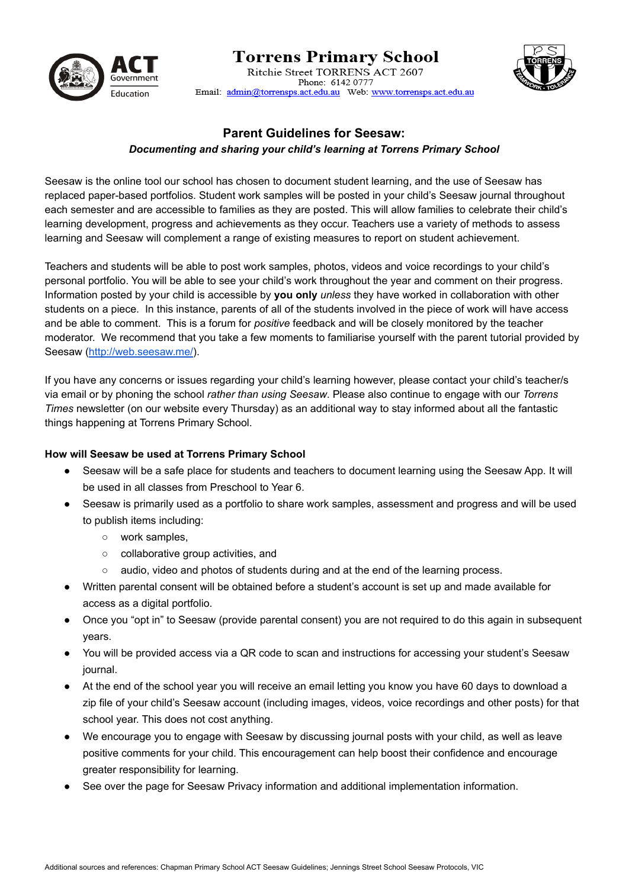

### **Torrens Primary School** Ritchie Street TORRENS ACT 2607 Phone: 6142, 0777 Email: admin@torrensps.act.edu.au Web: www.torrensps.act.edu.au



## **Parent Guidelines for Seesaw:**

### *Documenting and sharing your child's learning at Torrens Primary School*

Seesaw is the online tool our school has chosen to document student learning, and the use of Seesaw has replaced paper-based portfolios. Student work samples will be posted in your child's Seesaw journal throughout each semester and are accessible to families as they are posted. This will allow families to celebrate their child's learning development, progress and achievements as they occur. Teachers use a variety of methods to assess learning and Seesaw will complement a range of existing measures to report on student achievement.

Teachers and students will be able to post work samples, photos, videos and voice recordings to your child's personal portfolio. You will be able to see your child's work throughout the year and comment on their progress. Information posted by your child is accessible by **you only** *unless* they have worked in collaboration with other students on a piece. In this instance, parents of all of the students involved in the piece of work will have access and be able to comment. This is a forum for *positive* feedback and will be closely monitored by the teacher moderator. We recommend that you take a few moments to familiarise yourself with the parent tutorial provided by Seesaw [\(http://web.seesaw.me/](http://web.seesaw.me/)).

If you have any concerns or issues regarding your child's learning however, please contact your child's teacher/s via email or by phoning the school *rather than using Seesaw*. Please also continue to engage with our *Torrens Times* newsletter (on our website every Thursday) as an additional way to stay informed about all the fantastic things happening at Torrens Primary School.

### **How will Seesaw be used at Torrens Primary School**

- Seesaw will be a safe place for students and teachers to document learning using the Seesaw App. It will be used in all classes from Preschool to Year 6.
- Seesaw is primarily used as a portfolio to share work samples, assessment and progress and will be used to publish items including:
	- work samples,
	- collaborative group activities, and
	- audio, video and photos of students during and at the end of the learning process.
- Written parental consent will be obtained before a student's account is set up and made available for access as a digital portfolio.
- Once you "opt in" to Seesaw (provide parental consent) you are not required to do this again in subsequent years.
- You will be provided access via a QR code to scan and instructions for accessing your student's Seesaw journal.
- At the end of the school year you will receive an email letting you know you have 60 days to download a zip file of your child's Seesaw account (including images, videos, voice recordings and other posts) for that school year. This does not cost anything.
- We encourage you to engage with Seesaw by discussing journal posts with your child, as well as leave positive comments for your child. This encouragement can help boost their confidence and encourage greater responsibility for learning.
- See over the page for Seesaw Privacy information and additional implementation information.